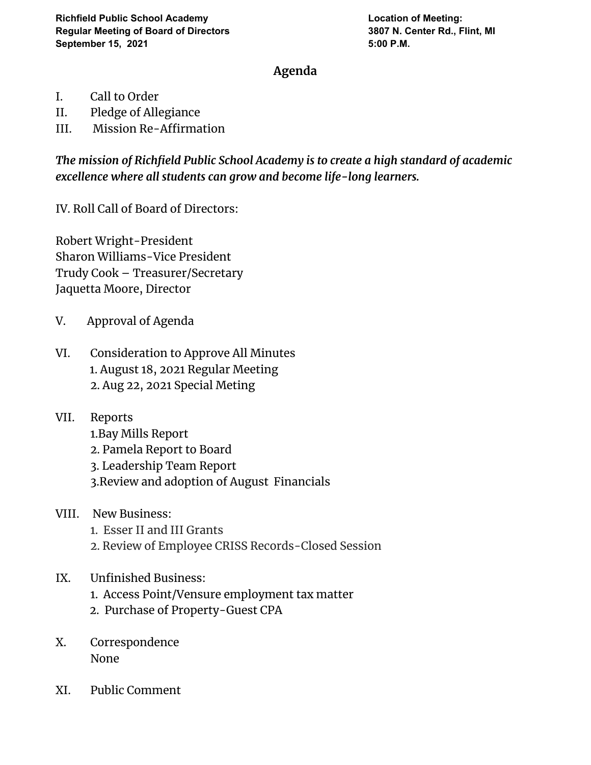## **Agenda**

- I. Call to Order
- II. Pledge of Allegiance
- III. Mission Re-Affirmation

*The mission of Richfield Public School Academy is to create a high standard of academic excellence where all students can grow and become life-long learners.*

IV. Roll Call of Board of Directors:

Robert Wright-President Sharon Williams-Vice President Trudy Cook – Treasurer/Secretary Jaquetta Moore, Director

- V. Approval of Agenda
- VI. Consideration to Approve All Minutes 1. August 18, 2021 Regular Meeting 2. Aug 22, 2021 Special Meting
- VII. Reports
	- 1.Bay Mills Report
	- 2. Pamela Report to Board
	- 3. Leadership Team Report
	- 3.Review and adoption of August Financials
- VIII. New Business:
	- 1. Esser II and III Grants
	- 2. Review of Employee CRISS Records-Closed Session

## IX. Unfinished Business:

- 1. Access Point/Vensure employment tax matter
- 2. Purchase of Property-Guest CPA
- X. Correspondence None
- XI. Public Comment